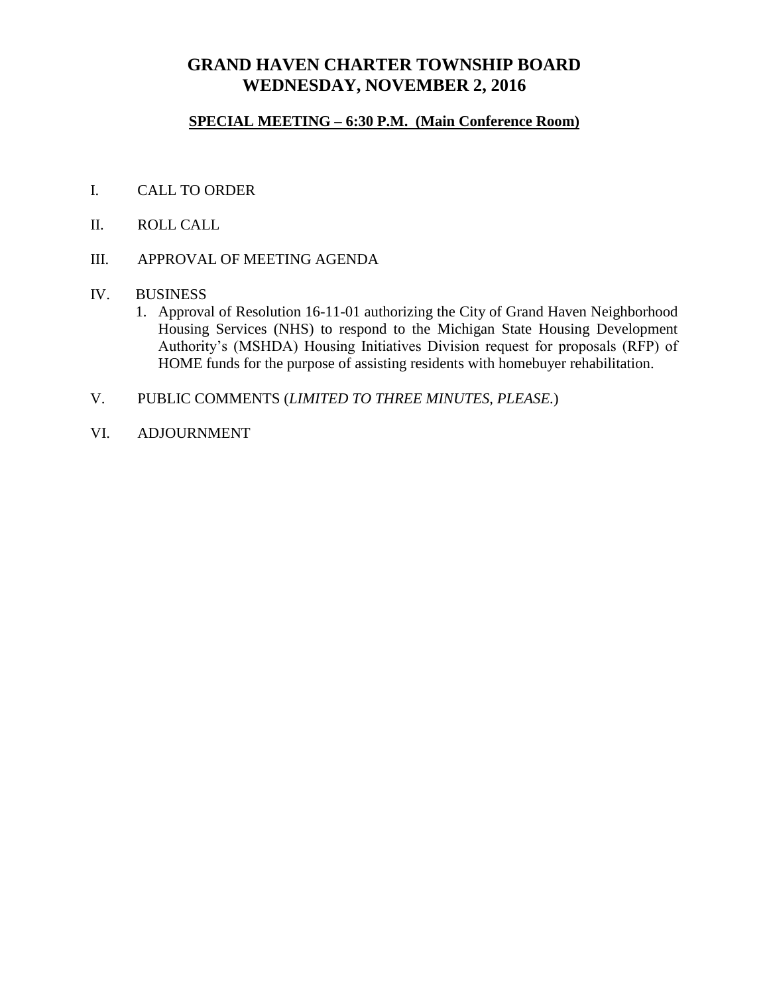## **GRAND HAVEN CHARTER TOWNSHIP BOARD WEDNESDAY, NOVEMBER 2, 2016**

### **SPECIAL MEETING – 6:30 P.M. (Main Conference Room)**

- I. CALL TO ORDER
- II. ROLL CALL
- III. APPROVAL OF MEETING AGENDA
- IV. BUSINESS
	- 1. Approval of Resolution 16-11-01 authorizing the City of Grand Haven Neighborhood Housing Services (NHS) to respond to the Michigan State Housing Development Authority's (MSHDA) Housing Initiatives Division request for proposals (RFP) of HOME funds for the purpose of assisting residents with homebuyer rehabilitation.
- V. PUBLIC COMMENTS (*LIMITED TO THREE MINUTES, PLEASE.*)
- VI. ADJOURNMENT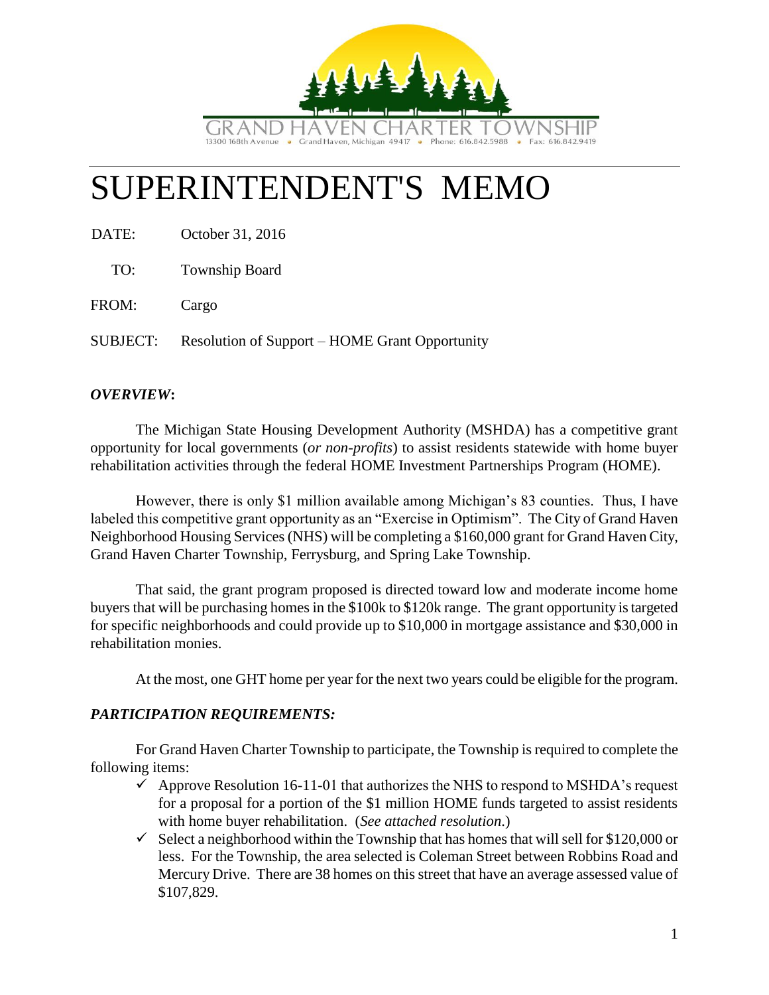

# SUPERINTENDENT'S MEMO

DATE: October 31, 2016

TO: Township Board

FROM: Cargo

SUBJECT: Resolution of Support – HOME Grant Opportunity

### *OVERVIEW***:**

The Michigan State Housing Development Authority (MSHDA) has a competitive grant opportunity for local governments (*or non-profits*) to assist residents statewide with home buyer rehabilitation activities through the federal HOME Investment Partnerships Program (HOME).

However, there is only \$1 million available among Michigan's 83 counties. Thus, I have labeled this competitive grant opportunity as an "Exercise in Optimism". The City of Grand Haven Neighborhood Housing Services (NHS) will be completing a \$160,000 grant for Grand Haven City, Grand Haven Charter Township, Ferrysburg, and Spring Lake Township.

That said, the grant program proposed is directed toward low and moderate income home buyers that will be purchasing homes in the \$100k to \$120k range. The grant opportunity is targeted for specific neighborhoods and could provide up to \$10,000 in mortgage assistance and \$30,000 in rehabilitation monies.

At the most, one GHT home per year for the next two years could be eligible for the program.

### *PARTICIPATION REQUIREMENTS:*

For Grand Haven Charter Township to participate, the Township is required to complete the following items:

- $\checkmark$  Approve Resolution 16-11-01 that authorizes the NHS to respond to MSHDA's request for a proposal for a portion of the \$1 million HOME funds targeted to assist residents with home buyer rehabilitation. (*See attached resolution*.)
- $\checkmark$  Select a neighborhood within the Township that has homes that will sell for \$120,000 or less. For the Township, the area selected is Coleman Street between Robbins Road and Mercury Drive. There are 38 homes on this street that have an average assessed value of \$107,829.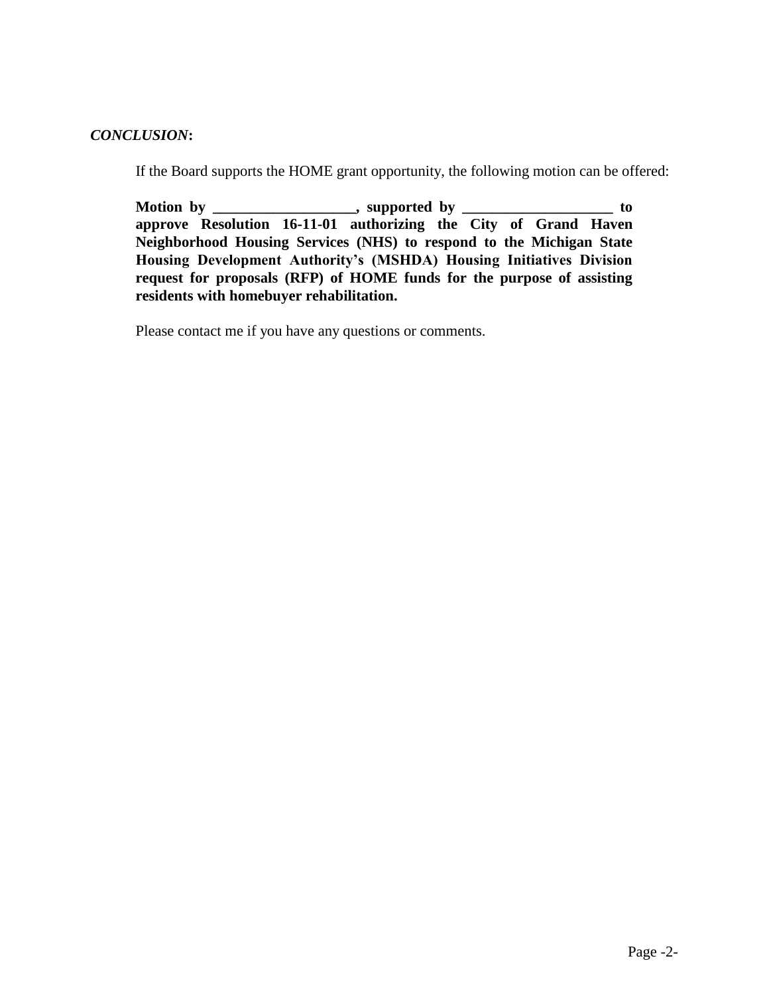#### *CONCLUSION***:**

If the Board supports the HOME grant opportunity, the following motion can be offered:

Motion by \_\_\_\_\_\_\_\_\_\_\_\_\_\_\_\_, supported by \_\_\_\_\_\_\_\_\_\_\_\_\_\_\_\_\_\_\_\_ to **approve Resolution 16-11-01 authorizing the City of Grand Haven Neighborhood Housing Services (NHS) to respond to the Michigan State Housing Development Authority's (MSHDA) Housing Initiatives Division request for proposals (RFP) of HOME funds for the purpose of assisting residents with homebuyer rehabilitation.**

Please contact me if you have any questions or comments.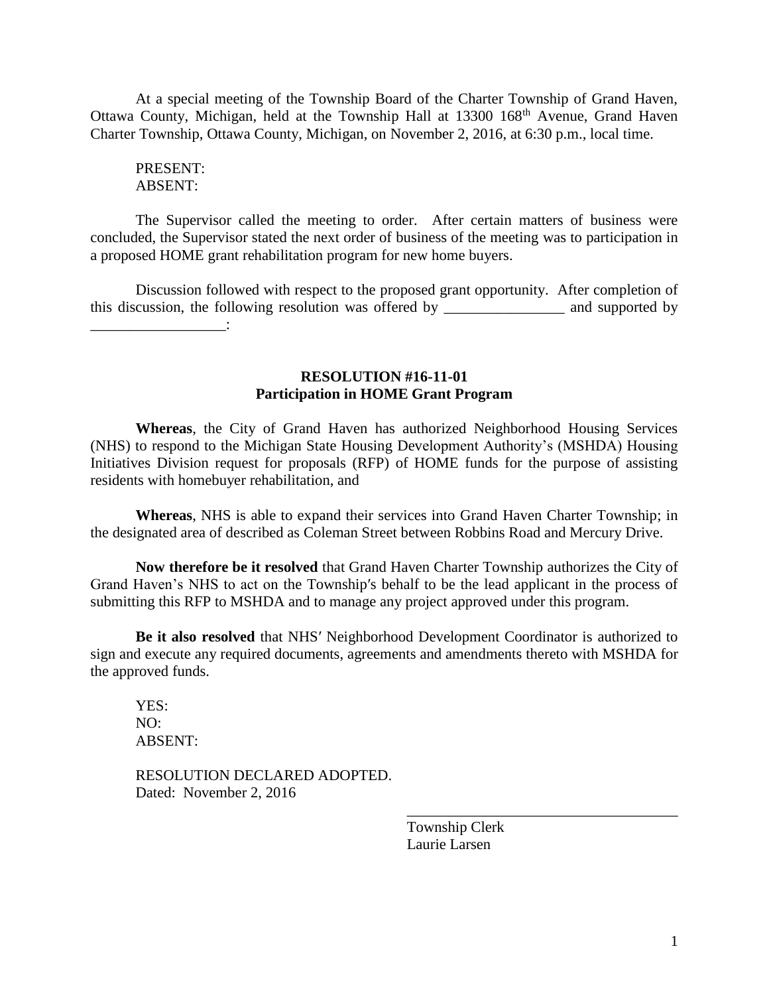At a special meeting of the Township Board of the Charter Township of Grand Haven, Ottawa County, Michigan, held at the Township Hall at 13300 168<sup>th</sup> Avenue, Grand Haven Charter Township, Ottawa County, Michigan, on November 2, 2016, at 6:30 p.m., local time.

PRESENT: ABSENT:

\_\_\_\_\_\_\_\_\_\_\_\_\_\_\_\_\_\_:

The Supervisor called the meeting to order. After certain matters of business were concluded, the Supervisor stated the next order of business of the meeting was to participation in a proposed HOME grant rehabilitation program for new home buyers.

Discussion followed with respect to the proposed grant opportunity. After completion of this discussion, the following resolution was offered by \_\_\_\_\_\_\_\_\_\_\_\_\_\_\_\_ and supported by

> **RESOLUTION #16-11-01 Participation in HOME Grant Program**

**Whereas**, the City of Grand Haven has authorized Neighborhood Housing Services (NHS) to respond to the Michigan State Housing Development Authority's (MSHDA) Housing Initiatives Division request for proposals (RFP) of HOME funds for the purpose of assisting residents with homebuyer rehabilitation, and

**Whereas**, NHS is able to expand their services into Grand Haven Charter Township; in the designated area of described as Coleman Street between Robbins Road and Mercury Drive.

**Now therefore be it resolved** that Grand Haven Charter Township authorizes the City of Grand Haven's NHS to act on the Township′s behalf to be the lead applicant in the process of submitting this RFP to MSHDA and to manage any project approved under this program.

**Be it also resolved** that NHS′ Neighborhood Development Coordinator is authorized to sign and execute any required documents, agreements and amendments thereto with MSHDA for the approved funds.

YES: NO: ABSENT:

RESOLUTION DECLARED ADOPTED. Dated: November 2, 2016

> Township Clerk Laurie Larsen

\_\_\_\_\_\_\_\_\_\_\_\_\_\_\_\_\_\_\_\_\_\_\_\_\_\_\_\_\_\_\_\_\_\_\_\_